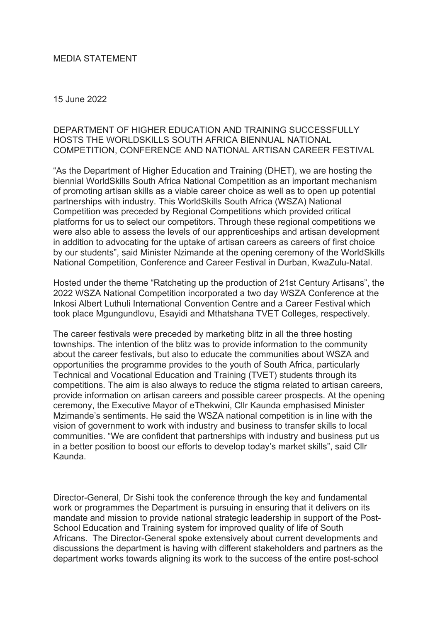## MEDIA STATEMENT

## 15 June 2022

## DEPARTMENT OF HIGHER EDUCATION AND TRAINING SUCCESSFULLY HOSTS THE WORLDSKILLS SOUTH AFRICA BIENNUAL NATIONAL COMPETITION, CONFERENCE AND NATIONAL ARTISAN CAREER FESTIVAL

"As the Department of Higher Education and Training (DHET), we are hosting the biennial WorldSkills South Africa National Competition as an important mechanism of promoting artisan skills as a viable career choice as well as to open up potential partnerships with industry. This WorldSkills South Africa (WSZA) National Competition was preceded by Regional Competitions which provided critical platforms for us to select our competitors. Through these regional competitions we were also able to assess the levels of our apprenticeships and artisan development in addition to advocating for the uptake of artisan careers as careers of first choice by our students", said Minister Nzimande at the opening ceremony of the WorldSkills National Competition, Conference and Career Festival in Durban, KwaZulu-Natal.

Hosted under the theme "Ratcheting up the production of 21st Century Artisans", the 2022 WSZA National Competition incorporated a two day WSZA Conference at the Inkosi Albert Luthuli International Convention Centre and a Career Festival which took place Mgungundlovu, Esayidi and Mthatshana TVET Colleges, respectively.

The career festivals were preceded by marketing blitz in all the three hosting townships. The intention of the blitz was to provide information to the community about the career festivals, but also to educate the communities about WSZA and opportunities the programme provides to the youth of South Africa, particularly Technical and Vocational Education and Training (TVET) students through its competitions. The aim is also always to reduce the stigma related to artisan careers, provide information on artisan careers and possible career prospects. At the opening ceremony, the Executive Mayor of eThekwini, Cllr Kaunda emphasised Minister Mzimande's sentiments. He said the WSZA national competition is in line with the vision of government to work with industry and business to transfer skills to local communities. "We are confident that partnerships with industry and business put us in a better position to boost our efforts to develop today's market skills", said Cllr Kaunda.

Director-General, Dr Sishi took the conference through the key and fundamental work or programmes the Department is pursuing in ensuring that it delivers on its mandate and mission to provide national strategic leadership in support of the Post-School Education and Training system for improved quality of life of South Africans. The Director-General spoke extensively about current developments and discussions the department is having with different stakeholders and partners as the department works towards aligning its work to the success of the entire post-school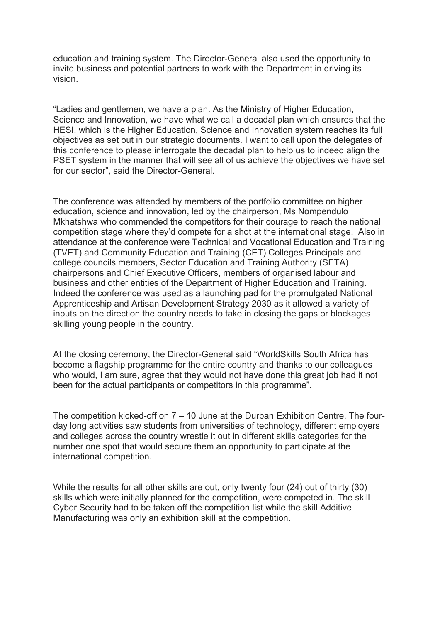education and training system. The Director-General also used the opportunity to invite business and potential partners to work with the Department in driving its vision.

"Ladies and gentlemen, we have a plan. As the Ministry of Higher Education, Science and Innovation, we have what we call a decadal plan which ensures that the HESI, which is the Higher Education, Science and Innovation system reaches its full objectives as set out in our strategic documents. I want to call upon the delegates of this conference to please interrogate the decadal plan to help us to indeed align the PSET system in the manner that will see all of us achieve the objectives we have set for our sector", said the Director-General.

The conference was attended by members of the portfolio committee on higher education, science and innovation, led by the chairperson, Ms Nompendulo Mkhatshwa who commended the competitors for their courage to reach the national competition stage where they'd compete for a shot at the international stage. Also in attendance at the conference were Technical and Vocational Education and Training (TVET) and Community Education and Training (CET) Colleges Principals and college councils members, Sector Education and Training Authority (SETA) chairpersons and Chief Executive Officers, members of organised labour and business and other entities of the Department of Higher Education and Training. Indeed the conference was used as a launching pad for the promulgated National Apprenticeship and Artisan Development Strategy 2030 as it allowed a variety of inputs on the direction the country needs to take in closing the gaps or blockages skilling young people in the country.

At the closing ceremony, the Director-General said "WorldSkills South Africa has become a flagship programme for the entire country and thanks to our colleagues who would, I am sure, agree that they would not have done this great job had it not been for the actual participants or competitors in this programme".

The competition kicked-off on 7 – 10 June at the Durban Exhibition Centre. The fourday long activities saw students from universities of technology, different employers and colleges across the country wrestle it out in different skills categories for the number one spot that would secure them an opportunity to participate at the international competition.

While the results for all other skills are out, only twenty four (24) out of thirty (30) skills which were initially planned for the competition, were competed in. The skill Cyber Security had to be taken off the competition list while the skill Additive Manufacturing was only an exhibition skill at the competition.